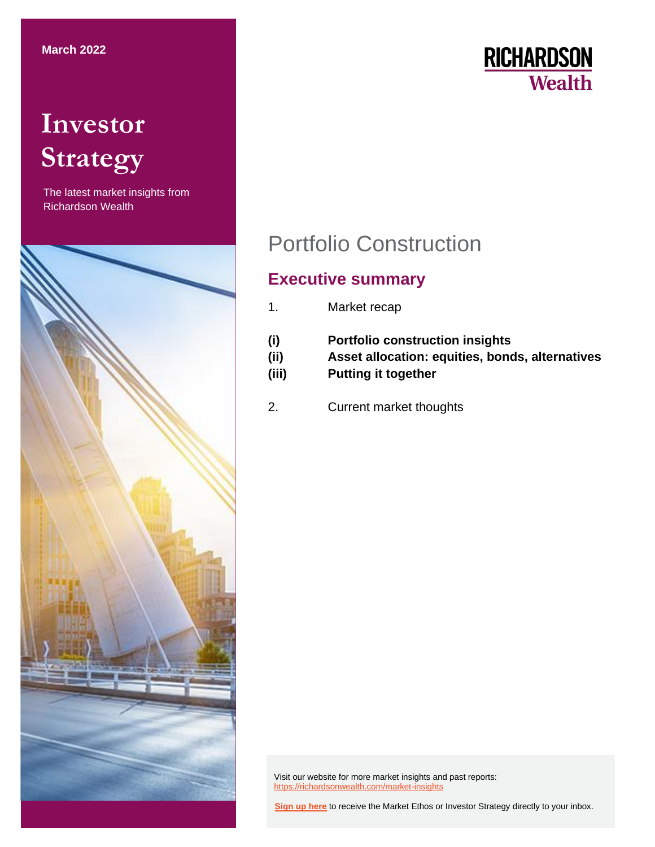# **Investor Strategy**

The latest market insights from Richardson Wealth



```
RICHARDSON
Wealth
```
## Portfolio Construction

## **Executive summary**

- 1. Market recap
- **(i) Portfolio construction insights (ii) Asset allocation: equities, bonds, alternatives (iii) Putting it together**
- 2. Current market thoughts

Visit our website for more market insights and past reports: <https://richardsonwealth.com/market-insights>

**[Sign up here](https://surveys.campaignbreeze.com/s/9772617f4a874bcad89db07d66bb905669984b44)** to receive the Market Ethos or Investor Strategy directly to your inbox.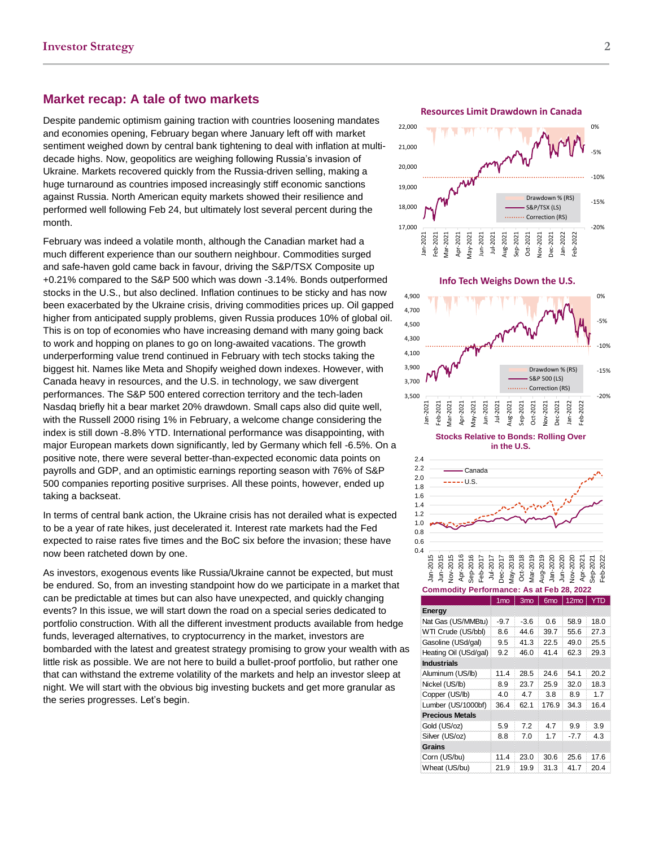## **Market recap: A tale of two markets**

Despite pandemic optimism gaining traction with countries loosening mandates and economies opening, February began where January left off with market sentiment weighed down by central bank tightening to deal with inflation at multidecade highs. Now, geopolitics are weighing following Russia's invasion of Ukraine. Markets recovered quickly from the Russia-driven selling, making a huge turnaround as countries imposed increasingly stiff economic sanctions against Russia. North American equity markets showed their resilience and performed well following Feb 24, but ultimately lost several percent during the month.

February was indeed a volatile month, although the Canadian market had a much different experience than our southern neighbour. Commodities surged and safe-haven gold came back in favour, driving the S&P/TSX Composite up +0.21% compared to the S&P 500 which was down -3.14%. Bonds outperformed stocks in the U.S., but also declined. Inflation continues to be sticky and has now been exacerbated by the Ukraine crisis, driving commodities prices up. Oil gapped higher from anticipated supply problems, given Russia produces 10% of global oil. This is on top of economies who have increasing demand with many going back to work and hopping on planes to go on long-awaited vacations. The growth underperforming value trend continued in February with tech stocks taking the biggest hit. Names like Meta and Shopify weighed down indexes. However, with Canada heavy in resources, and the U.S. in technology, we saw divergent performances. The S&P 500 entered correction territory and the tech-laden Nasdaq briefly hit a bear market 20% drawdown. Small caps also did quite well, with the Russell 2000 rising 1% in February, a welcome change considering the index is still down -8.8% YTD. International performance was disappointing, with major European markets down significantly, led by Germany which fell -6.5%. On a positive note, there were several better-than-expected economic data points on payrolls and GDP, and an optimistic earnings reporting season with 76% of S&P 500 companies reporting positive surprises. All these points, however, ended up taking a backseat.

In terms of central bank action, the Ukraine crisis has not derailed what is expected to be a year of rate hikes, just decelerated it. Interest rate markets had the Fed expected to raise rates five times and the BoC six before the invasion; these have now been ratcheted down by one.

As investors, exogenous events like Russia/Ukraine cannot be expected, but must be endured. So, from an investing standpoint how do we participate in a market that can be predictable at times but can also have unexpected, and quickly changing events? In this issue, we will start down the road on a special series dedicated to portfolio construction. With all the different investment products available from hedge funds, leveraged alternatives, to cryptocurrency in the market, investors are bombarded with the latest and greatest strategy promising to grow your wealth with as little risk as possible. We are not here to build a bullet-proof portfolio, but rather one that can withstand the extreme volatility of the markets and help an investor sleep at night. We will start with the obvious big investing buckets and get more granular as the series progresses. Let's begin.



|                        | '''W   | "''"   | טוווט | 12110  |      |
|------------------------|--------|--------|-------|--------|------|
| Energy                 |        |        |       |        |      |
| Nat Gas (US/MMBtu)     | $-9.7$ | $-3.6$ | 0.6   | 58.9   | 18.0 |
| WTI Crude (US/bbl)     | 8.6    | 44.6   | 39.7  | 55.6   | 27.3 |
| Gasoline (USd/gal)     | 9.5    | 41.3   | 22.5  | 49.0   | 25.5 |
| Heating Oil (USd/gal)  | 9.2    | 46.0   | 41.4  | 62.3   | 29.3 |
| <b>Industrials</b>     |        |        |       |        |      |
| Aluminum (US/lb)       | 11.4   | 28.5   | 24.6  | 54.1   | 20.2 |
| Nickel (US/lb)         | 8.9    | 23.7   | 25.9  | 32.0   | 18.3 |
| Copper (US/lb)         | 4.0    | 4.7    | 3.8   | 8.9    | 1.7  |
| Lumber (US/1000bf)     | 36.4   | 62.1   | 176.9 | 34.3   | 16.4 |
| <b>Precious Metals</b> |        |        |       |        |      |
| Gold (US/oz)           | 5.9    | 7.2    | 4.7   | 9.9    | 3.9  |
| Silver (US/oz)         | 8.8    | 7.0    | 1.7   | $-7.7$ | 4.3  |
| Grains                 |        |        |       |        |      |
| Corn (US/bu)           | 11.4   | 23.0   | 30.6  | 25.6   | 17.6 |
| Wheat (US/bu)          | 21.9   | 19.9   | 31.3  | 41.7   | 20.4 |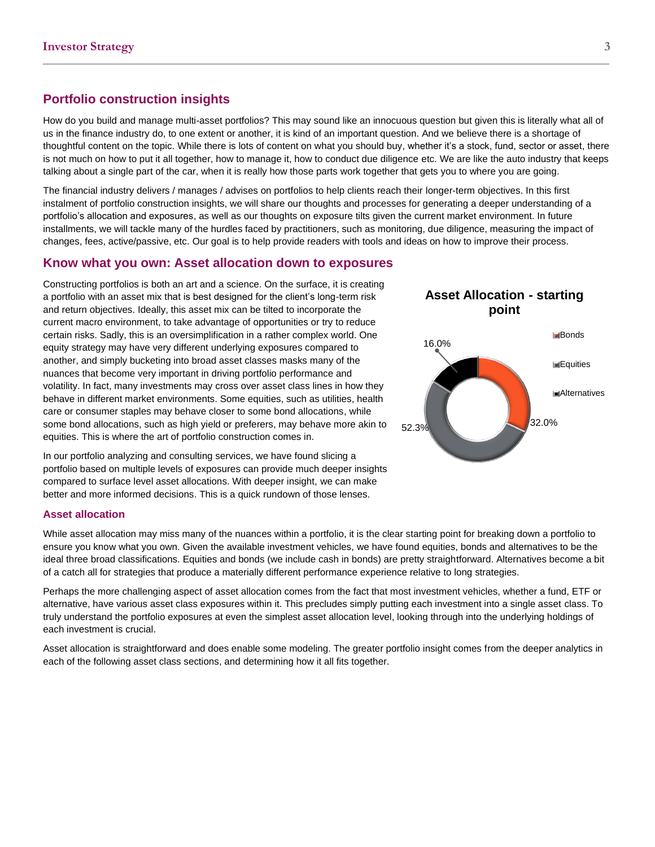## **Portfolio construction insights**

How do you build and manage multi-asset portfolios? This may sound like an innocuous question but given this is literally what all of us in the finance industry do, to one extent or another, it is kind of an important question. And we believe there is a shortage of thoughtful content on the topic. While there is lots of content on what you should buy, whether it's a stock, fund, sector or asset, there is not much on how to put it all together, how to manage it, how to conduct due diligence etc. We are like the auto industry that keeps talking about a single part of the car, when it is really how those parts work together that gets you to where you are going.

The financial industry delivers / manages / advises on portfolios to help clients reach their longer-term objectives. In this first instalment of portfolio construction insights, we will share our thoughts and processes for generating a deeper understanding of a portfolio's allocation and exposures, as well as our thoughts on exposure tilts given the current market environment. In future installments, we will tackle many of the hurdles faced by practitioners, such as monitoring, due diligence, measuring the impact of changes, fees, active/passive, etc. Our goal is to help provide readers with tools and ideas on how to improve their process.

## **Know what you own: Asset allocation down to exposures**

Constructing portfolios is both an art and a science. On the surface, it is creating a portfolio with an asset mix that is best designed for the client's long-term risk and return objectives. Ideally, this asset mix can be tilted to incorporate the current macro environment, to take advantage of opportunities or try to reduce certain risks. Sadly, this is an oversimplification in a rather complex world. One equity strategy may have very different underlying exposures compared to another, and simply bucketing into broad asset classes masks many of the nuances that become very important in driving portfolio performance and volatility. In fact, many investments may cross over asset class lines in how they behave in different market environments. Some equities, such as utilities, health care or consumer staples may behave closer to some bond allocations, while some bond allocations, such as high yield or preferers, may behave more akin to equities. This is where the art of portfolio construction comes in.

In our portfolio analyzing and consulting services, we have found slicing a portfolio based on multiple levels of exposures can provide much deeper insights compared to surface level asset allocations. With deeper insight, we can make better and more informed decisions. This is a quick rundown of those lenses.

### **Asset allocation**

While asset allocation may miss many of the nuances within a portfolio, it is the clear starting point for breaking down a portfolio to ensure you know what you own. Given the available investment vehicles, we have found equities, bonds and alternatives to be the ideal three broad classifications. Equities and bonds (we include cash in bonds) are pretty straightforward. Alternatives become a bit of a catch all for strategies that produce a materially different performance experience relative to long strategies.

Perhaps the more challenging aspect of asset allocation comes from the fact that most investment vehicles, whether a fund, ETF or alternative, have various asset class exposures within it. This precludes simply putting each investment into a single asset class. To truly understand the portfolio exposures at even the simplest asset allocation level, looking through into the underlying holdings of each investment is crucial.

Asset allocation is straightforward and does enable some modeling. The greater portfolio insight comes from the deeper analytics in each of the following asset class sections, and determining how it all fits together.

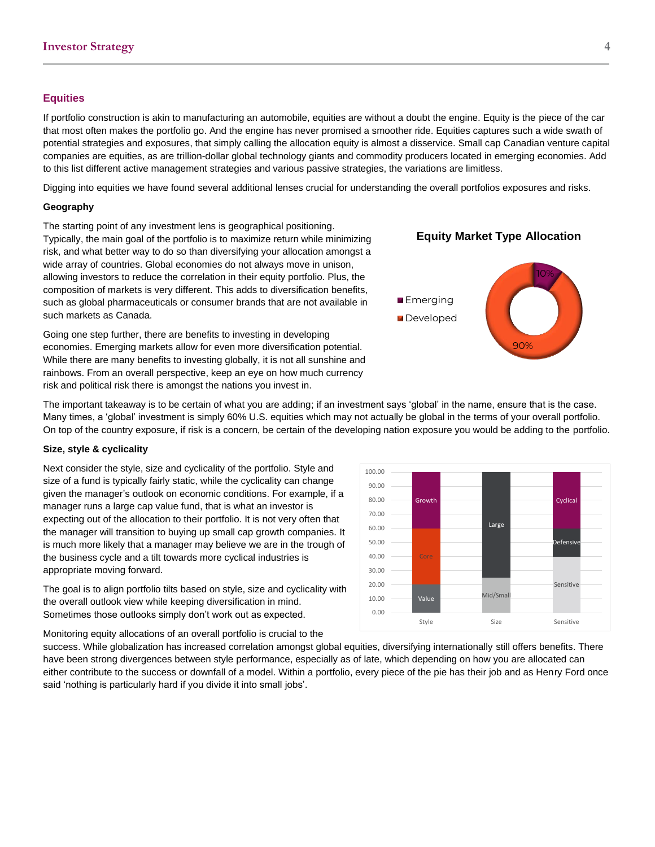## **Equities**

If portfolio construction is akin to manufacturing an automobile, equities are without a doubt the engine. Equity is the piece of the car that most often makes the portfolio go. And the engine has never promised a smoother ride. Equities captures such a wide swath of potential strategies and exposures, that simply calling the allocation equity is almost a disservice. Small cap Canadian venture capital companies are equities, as are trillion-dollar global technology giants and commodity producers located in emerging economies. Add to this list different active management strategies and various passive strategies, the variations are limitless.

Digging into equities we have found several additional lenses crucial for understanding the overall portfolios exposures and risks.

#### **Geography**

The starting point of any investment lens is geographical positioning. Typically, the main goal of the portfolio is to maximize return while minimizing risk, and what better way to do so than diversifying your allocation amongst a wide array of countries. Global economies do not always move in unison, allowing investors to reduce the correlation in their equity portfolio. Plus, the composition of markets is very different. This adds to diversification benefits, such as global pharmaceuticals or consumer brands that are not available in such markets as Canada.

Going one step further, there are benefits to investing in developing economies. Emerging markets allow for even more diversification potential. While there are many benefits to investing globally, it is not all sunshine and rainbows. From an overall perspective, keep an eye on how much currency risk and political risk there is amongst the nations you invest in.

90% **Z** Developed

**E**merging

The important takeaway is to be certain of what you are adding; if an investment says 'global' in the name, ensure that is the case. Many times, a 'global' investment is simply 60% U.S. equities which may not actually be global in the terms of your overall portfolio. On top of the country exposure, if risk is a concern, be certain of the developing nation exposure you would be adding to the portfolio.

#### **Size, style & cyclicality**

Next consider the style, size and cyclicality of the portfolio. Style and size of a fund is typically fairly static, while the cyclicality can change given the manager's outlook on economic conditions. For example, if a manager runs a large cap value fund, that is what an investor is expecting out of the allocation to their portfolio. It is not very often that the manager will transition to buying up small cap growth companies. It is much more likely that a manager may believe we are in the trough of the business cycle and a tilt towards more cyclical industries is appropriate moving forward.

The goal is to align portfolio tilts based on style, size and cyclicality with the overall outlook view while keeping diversification in mind. Sometimes those outlooks simply don't work out as expected.

Monitoring equity allocations of an overall portfolio is crucial to the

success. While globalization has increased correlation amongst global equities, diversifying internationally still offers benefits. There have been strong divergences between style performance, especially as of late, which depending on how you are allocated can either contribute to the success or downfall of a model. Within a portfolio, every piece of the pie has their job and as Henry Ford once said 'nothing is particularly hard if you divide it into small jobs'.





10%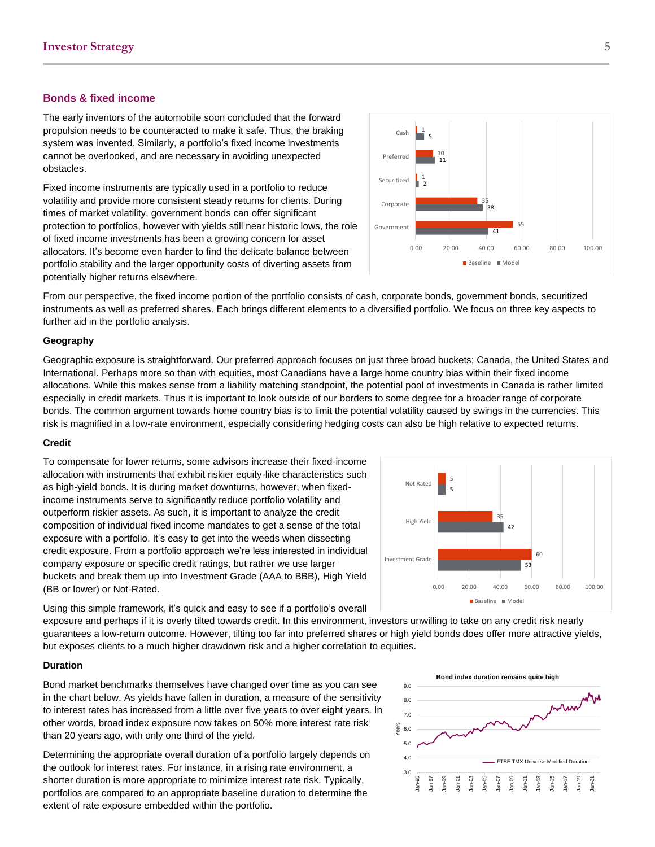#### **Bonds & fixed income**

The early inventors of the automobile soon concluded that the forward propulsion needs to be counteracted to make it safe. Thus, the braking system was invented. Similarly, a portfolio's fixed income investments cannot be overlooked, and are necessary in avoiding unexpected obstacles.

Fixed income instruments are typically used in a portfolio to reduce volatility and provide more consistent steady returns for clients. During times of market volatility, government bonds can offer significant protection to portfolios, however with yields still near historic lows, the role of fixed income investments has been a growing concern for asset allocators. It's become even harder to find the delicate balance between portfolio stability and the larger opportunity costs of diverting assets from potentially higher returns elsewhere.



From our perspective, the fixed income portion of the portfolio consists of cash, corporate bonds, government bonds, securitized instruments as well as preferred shares. Each brings different elements to a diversified portfolio. We focus on three key aspects to further aid in the portfolio analysis.

#### **Geography**

Geographic exposure is straightforward. Our preferred approach focuses on just three broad buckets; Canada, the United States and International. Perhaps more so than with equities, most Canadians have a large home country bias within their fixed income allocations. While this makes sense from a liability matching standpoint, the potential pool of investments in Canada is rather limited especially in credit markets. Thus it is important to look outside of our borders to some degree for a broader range of corporate bonds. The common argument towards home country bias is to limit the potential volatility caused by swings in the currencies. This risk is magnified in a low-rate environment, especially considering hedging costs can also be high relative to expected returns.

#### **Credit**

To compensate for lower returns, some advisors increase their fixed-income allocation with instruments that exhibit riskier equity-like characteristics such as high-yield bonds. It is during market downturns, however, when fixedincome instruments serve to significantly reduce portfolio volatility and outperform riskier assets. As such, it is important to analyze the credit composition of individual fixed income mandates to get a sense of the total exposure with a portfolio. It's easy to get into the weeds when dissecting credit exposure. From a portfolio approach we're less interested in individual company exposure or specific credit ratings, but rather we use larger buckets and break them up into Investment Grade (AAA to BBB), High Yield (BB or lower) or Not-Rated.



Using this simple framework, it's quick and easy to see if a portfolio's overall

exposure and perhaps if it is overly tilted towards credit. In this environment, investors unwilling to take on any credit risk nearly guarantees a low-return outcome. However, tilting too far into preferred shares or high yield bonds does offer more attractive yields, but exposes clients to a much higher drawdown risk and a higher correlation to equities.

#### **Duration**

Bond market benchmarks themselves have changed over time as you can see in the chart below. As yields have fallen in duration, a measure of the sensitivity to interest rates has increased from a little over five years to over eight years. In other words, broad index exposure now takes on 50% more interest rate risk than 20 years ago, with only one third of the yield.

Determining the appropriate overall duration of a portfolio largely depends on the outlook for interest rates. For instance, in a rising rate environment, a shorter duration is more appropriate to minimize interest rate risk. Typically, portfolios are compared to an appropriate baseline duration to determine the extent of rate exposure embedded within the portfolio.

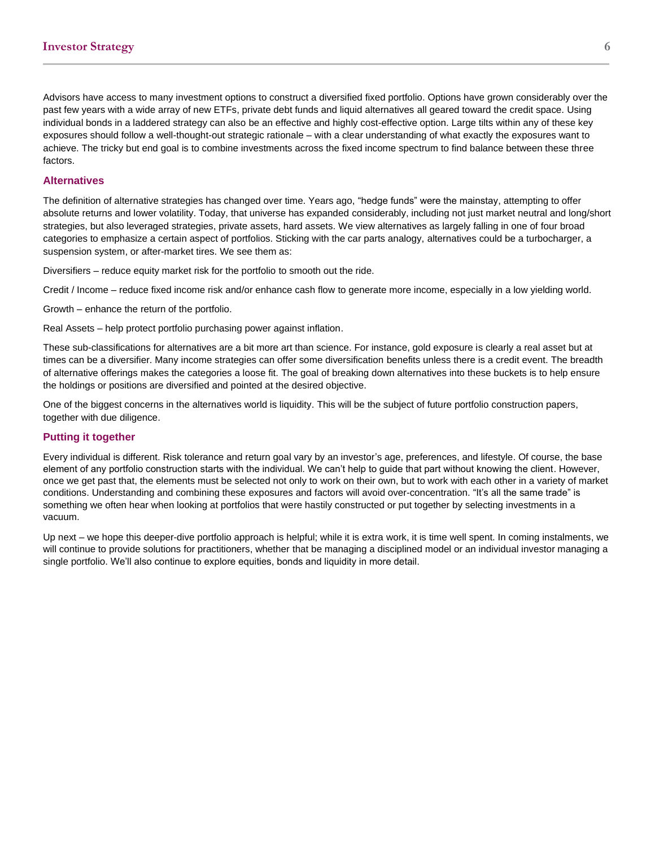Advisors have access to many investment options to construct a diversified fixed portfolio. Options have grown considerably over the past few years with a wide array of new ETFs, private debt funds and liquid alternatives all geared toward the credit space. Using individual bonds in a laddered strategy can also be an effective and highly cost-effective option. Large tilts within any of these key exposures should follow a well-thought-out strategic rationale – with a clear understanding of what exactly the exposures want to achieve. The tricky but end goal is to combine investments across the fixed income spectrum to find balance between these three factors.

## **Alternatives**

The definition of alternative strategies has changed over time. Years ago, "hedge funds" were the mainstay, attempting to offer absolute returns and lower volatility. Today, that universe has expanded considerably, including not just market neutral and long/short strategies, but also leveraged strategies, private assets, hard assets. We view alternatives as largely falling in one of four broad categories to emphasize a certain aspect of portfolios. Sticking with the car parts analogy, alternatives could be a turbocharger, a suspension system, or after-market tires. We see them as:

Diversifiers – reduce equity market risk for the portfolio to smooth out the ride.

Credit / Income – reduce fixed income risk and/or enhance cash flow to generate more income, especially in a low yielding world.

Growth – enhance the return of the portfolio.

Real Assets – help protect portfolio purchasing power against inflation.

These sub-classifications for alternatives are a bit more art than science. For instance, gold exposure is clearly a real asset but at times can be a diversifier. Many income strategies can offer some diversification benefits unless there is a credit event. The breadth of alternative offerings makes the categories a loose fit. The goal of breaking down alternatives into these buckets is to help ensure the holdings or positions are diversified and pointed at the desired objective.

One of the biggest concerns in the alternatives world is liquidity. This will be the subject of future portfolio construction papers, together with due diligence.

## **Putting it together**

Every individual is different. Risk tolerance and return goal vary by an investor's age, preferences, and lifestyle. Of course, the base element of any portfolio construction starts with the individual. We can't help to guide that part without knowing the client. However, once we get past that, the elements must be selected not only to work on their own, but to work with each other in a variety of market conditions. Understanding and combining these exposures and factors will avoid over-concentration. "It's all the same trade" is something we often hear when looking at portfolios that were hastily constructed or put together by selecting investments in a vacuum.

Up next – we hope this deeper-dive portfolio approach is helpful; while it is extra work, it is time well spent. In coming instalments, we will continue to provide solutions for practitioners, whether that be managing a disciplined model or an individual investor managing a single portfolio. We'll also continue to explore equities, bonds and liquidity in more detail.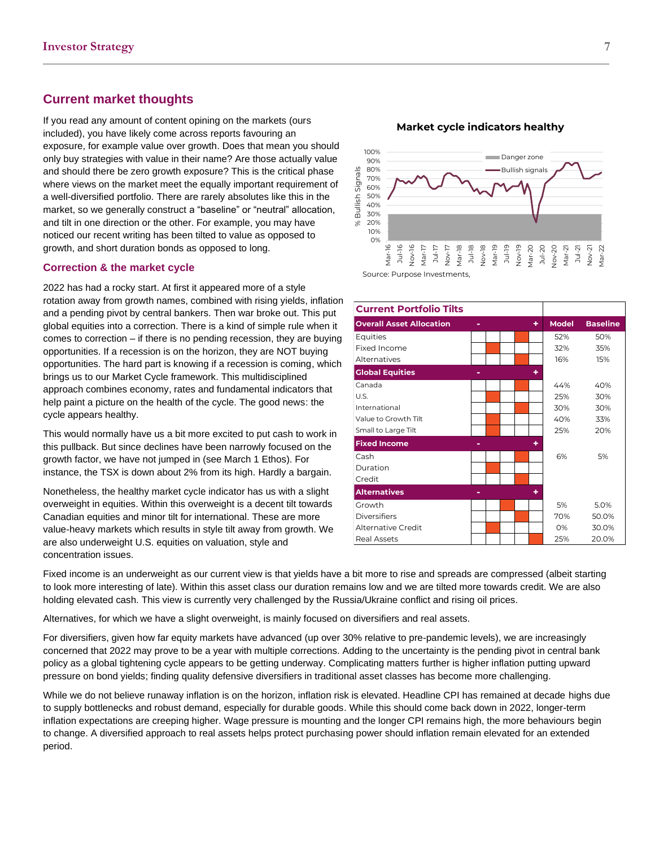## **Current market thoughts**

If you read any amount of content opining on the markets (ours included), you have likely come across reports favouring an exposure, for example value over growth. Does that mean you should only buy strategies with value in their name? Are those actually value and should there be zero growth exposure? This is the critical phase where views on the market meet the equally important requirement of a well-diversified portfolio. There are rarely absolutes like this in the market, so we generally construct a "baseline" or "neutral" allocation, and tilt in one direction or the other. For example, you may have noticed our recent writing has been tilted to value as opposed to growth, and short duration bonds as opposed to long.

### **Correction & the market cycle**

2022 has had a rocky start. At first it appeared more of a style rotation away from growth names, combined with rising yields, inflation and a pending pivot by central bankers. Then war broke out. This put global equities into a correction. There is a kind of simple rule when it comes to correction – if there is no pending recession, they are buying opportunities. If a recession is on the horizon, they are NOT buying opportunities. The hard part is knowing if a recession is coming, which brings us to our Market Cycle framework. This multidisciplined approach combines economy, rates and fundamental indicators that help paint a picture on the health of the cycle. The good news: the cycle appears healthy.

This would normally have us a bit more excited to put cash to work in this pullback. But since declines have been narrowly focused on the growth factor, we have not jumped in (see March 1 Ethos). For instance, the TSX is down about 2% from its high. Hardly a bargain.

Nonetheless, the healthy market cycle indicator has us with a slight overweight in equities. Within this overweight is a decent tilt towards Canadian equities and minor tilt for international. These are more value-heavy markets which results in style tilt away from growth. We are also underweight U.S. equities on valuation, style and concentration issues.





| <b>Current Portfolio Tilts</b>  |  |  |   |              |                 |
|---------------------------------|--|--|---|--------------|-----------------|
| <b>Overall Asset Allocation</b> |  |  | ٠ | <b>Model</b> | <b>Baseline</b> |
| Equities                        |  |  |   | 52%          | 50%             |
| Fixed Income                    |  |  |   | 32%          | 35%             |
| Alternatives                    |  |  |   | 16%          | 15%             |
| <b>Global Equities</b>          |  |  | ٠ |              |                 |
| Canada                          |  |  |   | 44%          | 40%             |
| U.S.                            |  |  |   | 25%          | 30%             |
| International                   |  |  |   | 30%          | 30%             |
| Value to Growth Tilt            |  |  |   | 40%          | 33%             |
| Small to Large Tilt             |  |  |   | 25%          | 20%             |
| <b>Fixed Income</b>             |  |  | ٠ |              |                 |
| Cash                            |  |  |   | 6%           | 5%              |
| Duration                        |  |  |   |              |                 |
| Credit                          |  |  |   |              |                 |
| <b>Alternatives</b>             |  |  | ٠ |              |                 |
| Growth                          |  |  |   | 5%           | 5.0%            |
| <b>Diversifiers</b>             |  |  |   | 70%          | 50.0%           |
| Alternative Credit              |  |  |   | O%           | 30.0%           |
| Real Assets                     |  |  |   | 25%          | 20.0%           |

Fixed income is an underweight as our current view is that yields have a bit more to rise and spreads are compressed (albeit starting to look more interesting of late). Within this asset class our duration remains low and we are tilted more towards credit. We are also holding elevated cash. This view is currently very challenged by the Russia/Ukraine conflict and rising oil prices.

Alternatives, for which we have a slight overweight, is mainly focused on diversifiers and real assets.

For diversifiers, given how far equity markets have advanced (up over 30% relative to pre-pandemic levels), we are increasingly concerned that 2022 may prove to be a year with multiple corrections. Adding to the uncertainty is the pending pivot in central bank policy as a global tightening cycle appears to be getting underway. Complicating matters further is higher inflation putting upward pressure on bond yields; finding quality defensive diversifiers in traditional asset classes has become more challenging.

While we do not believe runaway inflation is on the horizon, inflation risk is elevated. Headline CPI has remained at decade highs due to supply bottlenecks and robust demand, especially for durable goods. While this should come back down in 2022, longer-term inflation expectations are creeping higher. Wage pressure is mounting and the longer CPI remains high, the more behaviours begin to change. A diversified approach to real assets helps protect purchasing power should inflation remain elevated for an extended period.